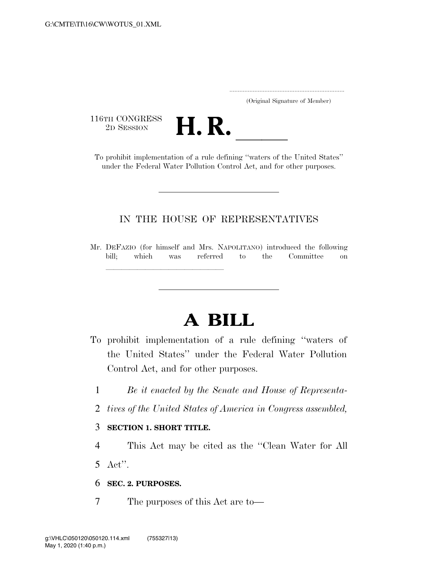|  | (Original Signature of Member) |  |
|--|--------------------------------|--|

116TH CONGRESS



To prohibit implementation of a rule defining ''waters of the United States'' under the Federal Water Pollution Control Act, and for other purposes.

### IN THE HOUSE OF REPRESENTATIVES

Mr. DEFAZIO (for himself and Mrs. NAPOLITANO) introduced the following bill; which was referred to the Committee on

# **A BILL**

- To prohibit implementation of a rule defining ''waters of the United States'' under the Federal Water Pollution Control Act, and for other purposes.
	- 1 *Be it enacted by the Senate and House of Representa-*
	- 2 *tives of the United States of America in Congress assembled,*

#### 3 **SECTION 1. SHORT TITLE.**

lllllllllllllll

4 This Act may be cited as the ''Clean Water for All

5 Act''.

#### 6 **SEC. 2. PURPOSES.**

7 The purposes of this Act are to—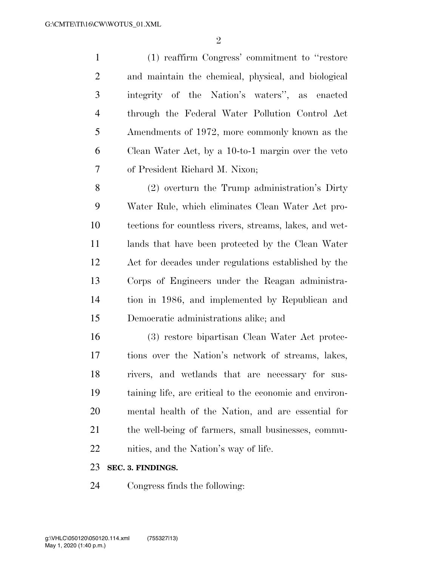| $\mathbf{1}$   | (1) reaffirm Congress' commitment to "restore"          |
|----------------|---------------------------------------------------------|
| $\overline{2}$ | and maintain the chemical, physical, and biological     |
| 3              | integrity of the Nation's waters", as enacted           |
| $\overline{4}$ | through the Federal Water Pollution Control Act         |
| 5              | Amendments of 1972, more commonly known as the          |
| 6              | Clean Water Act, by a 10-to-1 margin over the veto      |
| 7              | of President Richard M. Nixon;                          |
| 8              | (2) overturn the Trump administration's Dirty           |
| 9              | Water Rule, which eliminates Clean Water Act pro-       |
| 10             | tections for countless rivers, streams, lakes, and wet- |
| 11             | lands that have been protected by the Clean Water       |
| 12             | Act for decades under regulations established by the    |
| 13             | Corps of Engineers under the Reagan administra-         |
| 14             | tion in 1986, and implemented by Republican and         |
| 15             | Democratic administrations alike; and                   |
| 16             | (3) restore bipartisan Clean Water Act protec-          |
| 17             | tions over the Nation's network of streams, lakes,      |
| 18             | rivers, and wetlands that are necessary for sus-        |
| 19             | taining life, are critical to the economic and environ- |
| 20             | mental health of the Nation, and are essential for      |
| 21             | the well-being of farmers, small businesses, commu-     |
| 22             | nities, and the Nation's way of life.                   |

## **SEC. 3. FINDINGS.**

Congress finds the following: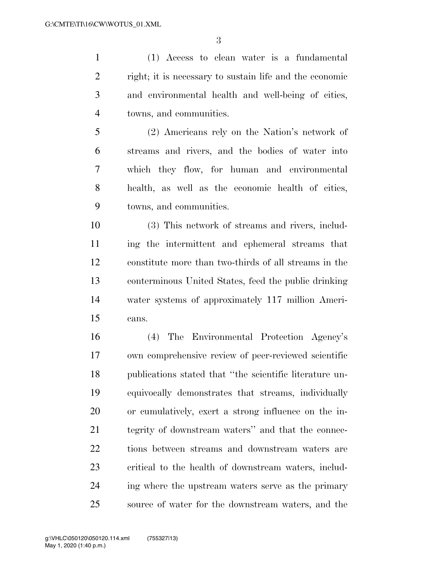(1) Access to clean water is a fundamental right; it is necessary to sustain life and the economic and environmental health and well-being of cities, towns, and communities.

 (2) Americans rely on the Nation's network of streams and rivers, and the bodies of water into which they flow, for human and environmental health, as well as the economic health of cities, towns, and communities.

 (3) This network of streams and rivers, includ- ing the intermittent and ephemeral streams that constitute more than two-thirds of all streams in the conterminous United States, feed the public drinking water systems of approximately 117 million Ameri-cans.

 (4) The Environmental Protection Agency's own comprehensive review of peer-reviewed scientific publications stated that ''the scientific literature un- equivocally demonstrates that streams, individually or cumulatively, exert a strong influence on the in- tegrity of downstream waters'' and that the connec- tions between streams and downstream waters are critical to the health of downstream waters, includ- ing where the upstream waters serve as the primary source of water for the downstream waters, and the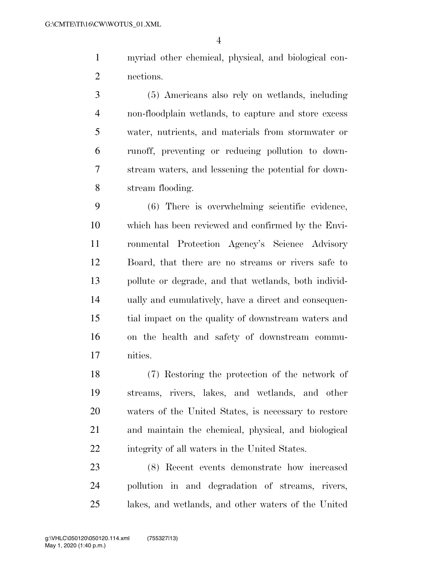myriad other chemical, physical, and biological con-nections.

 (5) Americans also rely on wetlands, including non-floodplain wetlands, to capture and store excess water, nutrients, and materials from stormwater or runoff, preventing or reducing pollution to down- stream waters, and lessening the potential for down-stream flooding.

 (6) There is overwhelming scientific evidence, which has been reviewed and confirmed by the Envi- ronmental Protection Agency's Science Advisory Board, that there are no streams or rivers safe to pollute or degrade, and that wetlands, both individ- ually and cumulatively, have a direct and consequen- tial impact on the quality of downstream waters and on the health and safety of downstream commu-nities.

 (7) Restoring the protection of the network of streams, rivers, lakes, and wetlands, and other waters of the United States, is necessary to restore and maintain the chemical, physical, and biological integrity of all waters in the United States.

 (8) Recent events demonstrate how increased pollution in and degradation of streams, rivers, lakes, and wetlands, and other waters of the United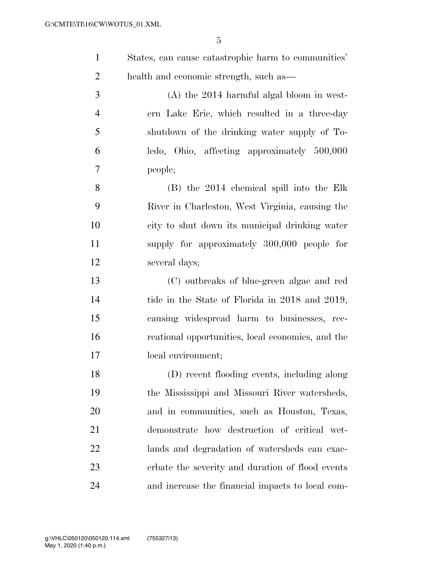| States, can cause catastrophic harm to communities' |
|-----------------------------------------------------|
| health and economic strength, such as               |
| $(1)$ $(1)$ $(0)$                                   |

 (A) the 2014 harmful algal bloom in west- ern Lake Erie, which resulted in a three-day shutdown of the drinking water supply of To- ledo, Ohio, affecting approximately 500,000 people;

 (B) the 2014 chemical spill into the Elk River in Charleston, West Virginia, causing the city to shut down its municipal drinking water supply for approximately 300,000 people for several days;

 (C) outbreaks of blue-green algae and red tide in the State of Florida in 2018 and 2019, causing widespread harm to businesses, rec- reational opportunities, local economies, and the local environment;

 (D) recent flooding events, including along the Mississippi and Missouri River watersheds, and in communities, such as Houston, Texas, demonstrate how destruction of critical wet- lands and degradation of watersheds can exac- erbate the severity and duration of flood events and increase the financial impacts to local com-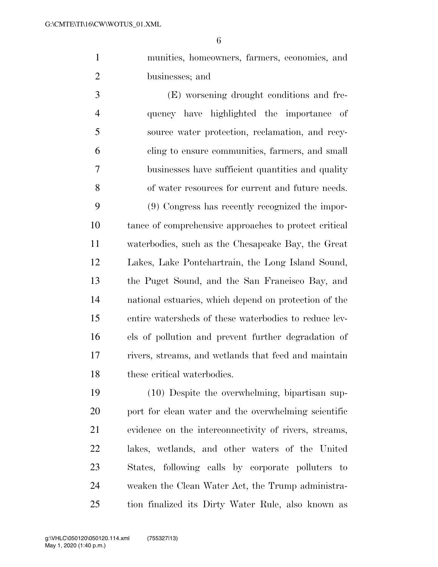munities, homeowners, farmers, economies, and businesses; and

 (E) worsening drought conditions and fre- quency have highlighted the importance of source water protection, reclamation, and recy- cling to ensure communities, farmers, and small businesses have sufficient quantities and quality of water resources for current and future needs.

 (9) Congress has recently recognized the impor- tance of comprehensive approaches to protect critical waterbodies, such as the Chesapeake Bay, the Great Lakes, Lake Pontchartrain, the Long Island Sound, the Puget Sound, and the San Francisco Bay, and national estuaries, which depend on protection of the entire watersheds of these waterbodies to reduce lev- els of pollution and prevent further degradation of rivers, streams, and wetlands that feed and maintain these critical waterbodies.

 (10) Despite the overwhelming, bipartisan sup-20 port for clean water and the overwhelming scientific evidence on the interconnectivity of rivers, streams, lakes, wetlands, and other waters of the United States, following calls by corporate polluters to weaken the Clean Water Act, the Trump administra-tion finalized its Dirty Water Rule, also known as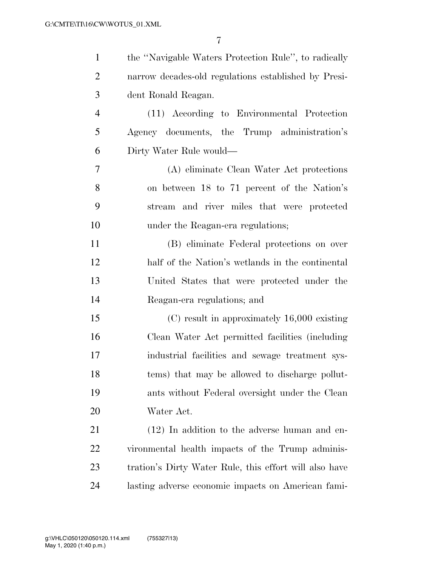| $\mathbf{1}$   | the "Navigable Waters Protection Rule", to radically   |
|----------------|--------------------------------------------------------|
| $\overline{c}$ | narrow decades-old regulations established by Presi-   |
| 3              | dent Ronald Reagan.                                    |
| $\overline{4}$ | (11) According to Environmental Protection             |
| 5              | Agency documents, the Trump administration's           |
| 6              | Dirty Water Rule would—                                |
| $\overline{7}$ | (A) eliminate Clean Water Act protections              |
| 8              | on between 18 to 71 percent of the Nation's            |
| 9              | stream and river miles that were protected             |
| 10             | under the Reagan-era regulations;                      |
| 11             | (B) eliminate Federal protections on over              |
| 12             | half of the Nation's wetlands in the continental       |
| 13             | United States that were protected under the            |
| 14             | Reagan-era regulations; and                            |
| 15             | $(C)$ result in approximately 16,000 existing          |
| 16             | Clean Water Act permitted facilities (including)       |
| 17             | industrial facilities and sewage treatment sys-        |
| 18             | tems) that may be allowed to discharge pollut-         |
| 19             | ants without Federal oversight under the Clean         |
| 20             | Water Act.                                             |
| 21             | $(12)$ In addition to the adverse human and en-        |
| 22             | vironmental health impacts of the Trump adminis-       |
| 23             | tration's Dirty Water Rule, this effort will also have |
| 24             | lasting adverse economic impacts on American fami-     |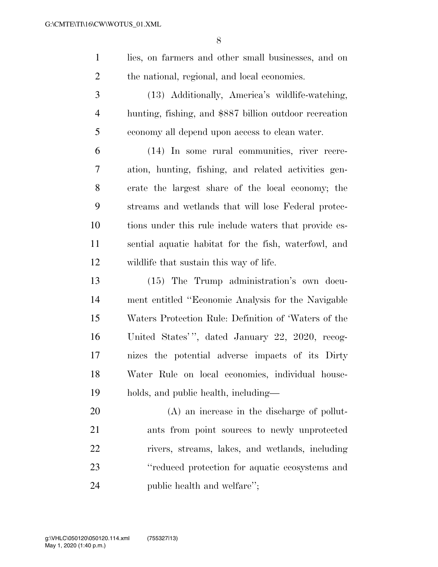- lies, on farmers and other small businesses, and on the national, regional, and local economies.
- (13) Additionally, America's wildlife-watching, hunting, fishing, and \$887 billion outdoor recreation economy all depend upon access to clean water.

 (14) In some rural communities, river recre- ation, hunting, fishing, and related activities gen- erate the largest share of the local economy; the streams and wetlands that will lose Federal protec- tions under this rule include waters that provide es- sential aquatic habitat for the fish, waterfowl, and wildlife that sustain this way of life.

 (15) The Trump administration's own docu- ment entitled ''Economic Analysis for the Navigable Waters Protection Rule: Definition of 'Waters of the United States' '', dated January 22, 2020, recog- nizes the potential adverse impacts of its Dirty Water Rule on local economies, individual house-holds, and public health, including—

 (A) an increase in the discharge of pollut- ants from point sources to newly unprotected rivers, streams, lakes, and wetlands, including 23 "reduced protection for aquatic ecosystems and 24 public health and welfare'';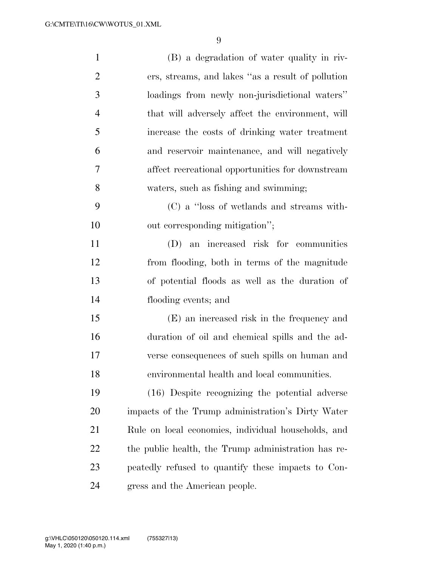| $\mathbf{1}$   | (B) a degradation of water quality in riv-          |
|----------------|-----------------------------------------------------|
| $\overline{2}$ | ers, streams, and lakes "as a result of pollution"  |
| 3              | loadings from newly non-jurisdictional waters"      |
| $\overline{4}$ | that will adversely affect the environment, will    |
| 5              | increase the costs of drinking water treatment      |
| 6              | and reservoir maintenance, and will negatively      |
| 7              | affect recreational opportunities for downstream    |
| 8              | waters, such as fishing and swimming;               |
| 9              | (C) a "loss of wetlands and streams with-           |
| 10             | out corresponding mitigation";                      |
| 11             | (D) an increased risk for communities               |
| 12             | from flooding, both in terms of the magnitude       |
| 13             | of potential floods as well as the duration of      |
| 14             | flooding events; and                                |
| 15             | (E) an increased risk in the frequency and          |
| 16             | duration of oil and chemical spills and the ad-     |
| 17             | verse consequences of such spills on human and      |
| 18             | environmental health and local communities.         |
| 19             | (16) Despite recognizing the potential adverse      |
| 20             | impacts of the Trump administration's Dirty Water   |
| 21             | Rule on local economies, individual households, and |
| 22             | the public health, the Trump administration has re- |
| 23             | peatedly refused to quantify these impacts to Con-  |
| 24             | gress and the American people.                      |

 $V_{\rm eff}$  2010  $F_{\rm eff}$  Fm  $\sim$  15  $\mu$  m  $\mu$  c:  $U_{\rm eff}$   $\sim$   $\mu$   $\sim$   $\mu$   $\sim$   $\mu$ 

g:\VHLC\050120\050120.114.xml (755327|13)

May 1, 2020 (1:40 p.m.)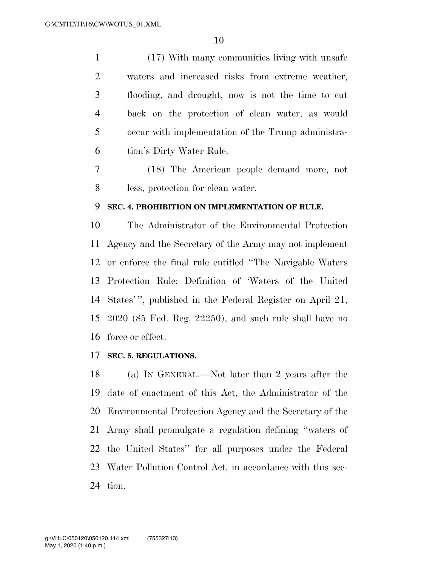(17) With many communities living with unsafe waters and increased risks from extreme weather, flooding, and drought, now is not the time to cut back on the protection of clean water, as would occur with implementation of the Trump administra-tion's Dirty Water Rule.

 (18) The American people demand more, not less, protection for clean water.

#### **SEC. 4. PROHIBITION ON IMPLEMENTATION OF RULE.**

 The Administrator of the Environmental Protection Agency and the Secretary of the Army may not implement or enforce the final rule entitled ''The Navigable Waters Protection Rule: Definition of 'Waters of the United States' '', published in the Federal Register on April 21, 2020 (85 Fed. Reg. 22250), and such rule shall have no force or effect.

#### **SEC. 5. REGULATIONS.**

 (a) IN GENERAL.—Not later than 2 years after the date of enactment of this Act, the Administrator of the Environmental Protection Agency and the Secretary of the Army shall promulgate a regulation defining ''waters of the United States'' for all purposes under the Federal Water Pollution Control Act, in accordance with this sec-tion.